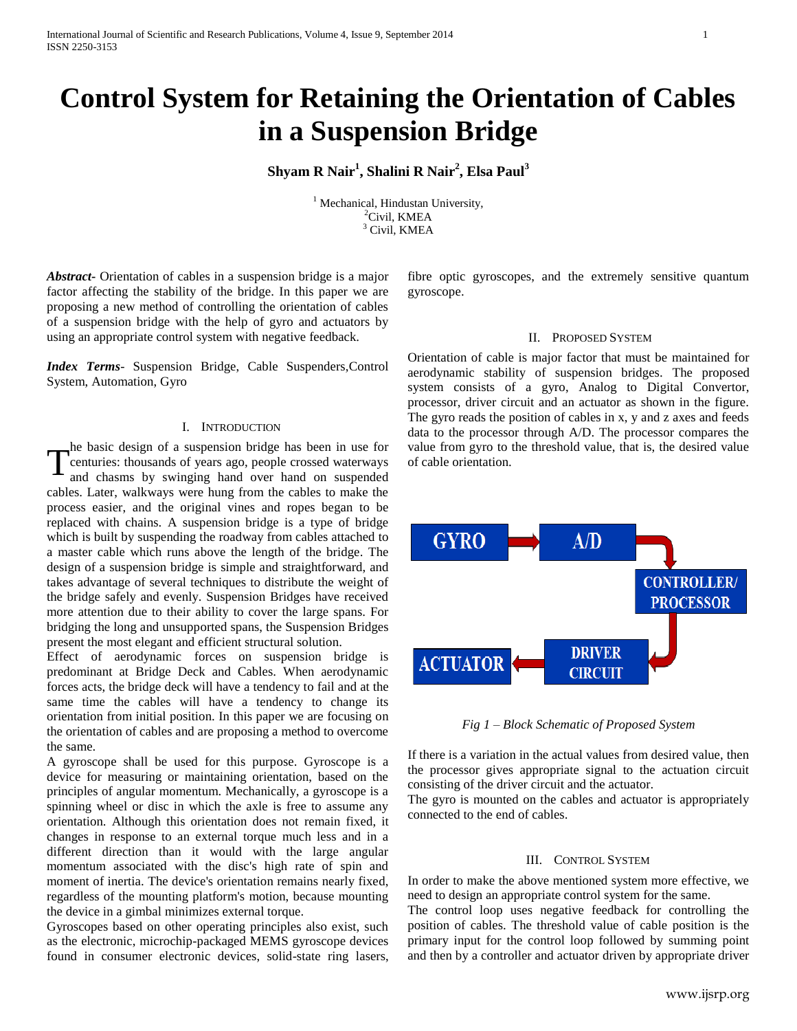# **Control System for Retaining the Orientation of Cables in a Suspension Bridge**

**Shyam R Nair<sup>1</sup> , Shalini R Nair<sup>2</sup> , Elsa Paul<sup>3</sup>**

 $<sup>1</sup>$  Mechanical, Hindustan University,</sup> <sup>2</sup>Civil, KMEA <sup>3</sup> Civil, KMEA

*Abstract***-** Orientation of cables in a suspension bridge is a major factor affecting the stability of the bridge. In this paper we are proposing a new method of controlling the orientation of cables of a suspension bridge with the help of gyro and actuators by using an appropriate control system with negative feedback.

*Index Terms*- Suspension Bridge, Cable Suspenders,Control System, Automation, Gyro

#### I. INTRODUCTION

he basic design of a suspension bridge has been in use for centuries: thousands of years ago, people crossed waterways The basic design of a suspension bridge has been in use for<br>centuries: thousands of years ago, people crossed waterways<br>and chasms by swinging hand over hand on suspended cables. Later, walkways were hung from the cables to make the process easier, and the original vines and ropes began to be replaced with chains. A suspension bridge is a type of bridge which is built by suspending the roadway from cables attached to a master cable which runs above the length of the bridge. The design of a suspension bridge is simple and straightforward, and takes advantage of several techniques to distribute the weight of the bridge safely and evenly. Suspension Bridges have received more attention due to their ability to cover the large spans. For bridging the long and unsupported spans, the Suspension Bridges present the most elegant and efficient structural solution.

Effect of aerodynamic forces on suspension bridge is predominant at Bridge Deck and Cables. When aerodynamic forces acts, the bridge deck will have a tendency to fail and at the same time the cables will have a tendency to change its orientation from initial position. In this paper we are focusing on the orientation of cables and are proposing a method to overcome the same.

A gyroscope shall be used for this purpose. Gyroscope is a device for measuring or maintaining orientation, based on the principles of angular momentum. Mechanically, a gyroscope is a spinning wheel or disc in which the axle is free to assume any orientation. Although this orientation does not remain fixed, it changes in response to an external torque much less and in a different direction than it would with the large angular momentum associated with the disc's high rate of spin and moment of inertia. The device's orientation remains nearly fixed, regardless of the mounting platform's motion, because mounting the device in a gimbal minimizes external torque.

Gyroscopes based on other operating principles also exist, such as the electronic, microchip-packaged MEMS gyroscope devices found in consumer electronic devices, solid-state ring lasers, fibre optic gyroscopes, and the extremely sensitive quantum gyroscope.

#### II. PROPOSED SYSTEM

Orientation of cable is major factor that must be maintained for aerodynamic stability of suspension bridges. The proposed system consists of a gyro, Analog to Digital Convertor, processor, driver circuit and an actuator as shown in the figure. The gyro reads the position of cables in x, y and z axes and feeds data to the processor through A/D. The processor compares the value from gyro to the threshold value, that is, the desired value of cable orientation.



*Fig 1 – Block Schematic of Proposed System*

If there is a variation in the actual values from desired value, then the processor gives appropriate signal to the actuation circuit consisting of the driver circuit and the actuator.

The gyro is mounted on the cables and actuator is appropriately connected to the end of cables.

### III. CONTROL SYSTEM

In order to make the above mentioned system more effective, we need to design an appropriate control system for the same.

The control loop uses negative feedback for controlling the position of cables. The threshold value of cable position is the primary input for the control loop followed by summing point and then by a controller and actuator driven by appropriate driver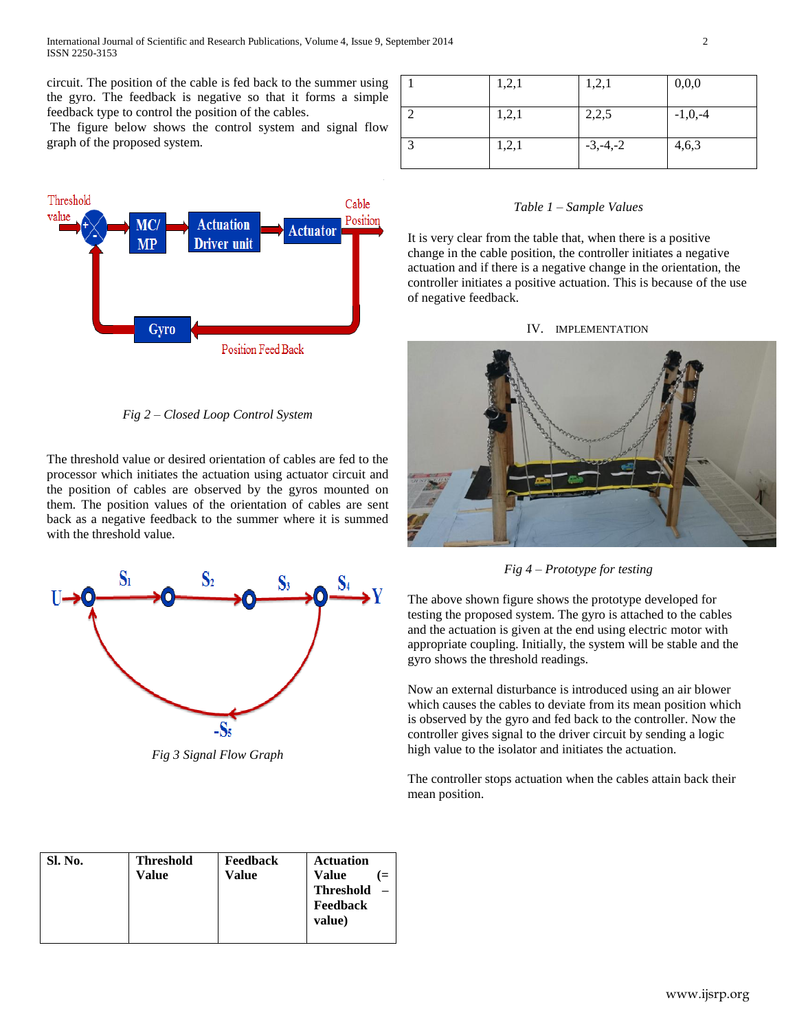circuit. The position of the cable is fed back to the summer using the gyro. The feedback is negative so that it forms a simple feedback type to control the position of the cables.

The figure below shows the control system and signal flow graph of the proposed system.



*Fig 2 – Closed Loop Control System*

The threshold value or desired orientation of cables are fed to the processor which initiates the actuation using actuator circuit and the position of cables are observed by the gyros mounted on them. The position values of the orientation of cables are sent back as a negative feedback to the summer where it is summed with the threshold value.



*Fig 3 Signal Flow Graph*

| Sl. No. | <b>Threshold</b><br>Value | Feedback<br>Value | <b>Actuation</b><br><b>Value</b><br><b>Threshold</b><br>Feedback<br>value) |
|---------|---------------------------|-------------------|----------------------------------------------------------------------------|
|         |                           |                   |                                                                            |

| 1,2,1 | 1,2,1        | 0,0,0       |
|-------|--------------|-------------|
| 1,2,1 | 2,2,5        | $-1, 0, -4$ |
| 1,2,1 | $-3, -4, -2$ | 4,6,3       |

# *Table 1 – Sample Values*

It is very clear from the table that, when there is a positive change in the cable position, the controller initiates a negative actuation and if there is a negative change in the orientation, the controller initiates a positive actuation. This is because of the use of negative feedback.

#### IV. IMPLEMENTATION





The above shown figure shows the prototype developed for testing the proposed system. The gyro is attached to the cables and the actuation is given at the end using electric motor with appropriate coupling. Initially, the system will be stable and the gyro shows the threshold readings.

Now an external disturbance is introduced using an air blower which causes the cables to deviate from its mean position which is observed by the gyro and fed back to the controller. Now the controller gives signal to the driver circuit by sending a logic high value to the isolator and initiates the actuation.

The controller stops actuation when the cables attain back their mean position.